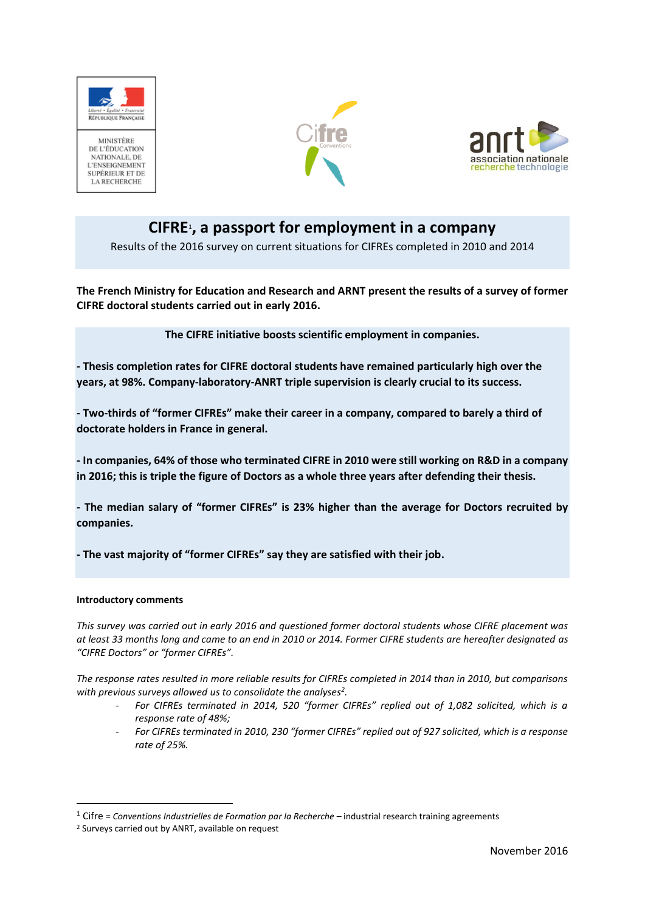

NATIONALE, DE **L'ENSEIGNEMENT** SUPÉRIEUR ET DE **LA RECHERCHE** 





# **CIFRE**<sup>1</sup> **, a passport for employment in a company**

Results of the 2016 survey on current situations for CIFREs completed in 2010 and 2014

**The French Ministry for Education and Research and ARNT present the results of a survey of former CIFRE doctoral students carried out in early 2016.**

**The CIFRE initiative boosts scientific employment in companies.** 

**- Thesis completion rates for CIFRE doctoral students have remained particularly high over the years, at 98%. Company-laboratory-ANRT triple supervision is clearly crucial to its success.**

**- Two-thirds of "former CIFREs" make their career in a company, compared to barely a third of doctorate holders in France in general.**

**- In companies, 64% of those who terminated CIFRE in 2010 were still working on R&D in a company in 2016; this is triple the figure of Doctors as a whole three years after defending their thesis.** 

**- The median salary of "former CIFREs" is 23% higher than the average for Doctors recruited by companies.** 

**- The vast majority of "former CIFREs" say they are satisfied with their job.**

#### **Introductory comments**

**.** 

*This survey was carried out in early 2016 and questioned former doctoral students whose CIFRE placement was at least 33 months long and came to an end in 2010 or 2014. Former CIFRE students are hereafter designated as "CIFRE Doctors" or "former CIFREs".*

*The response rates resulted in more reliable results for CIFREs completed in 2014 than in 2010, but comparisons with previous surveys allowed us to consolidate the analyses<sup>2</sup> .*

- *For CIFREs terminated in 2014, 520 "former CIFREs" replied out of 1,082 solicited, which is a response rate of 48%;*
- *For CIFREs terminated in 2010, 230 "former CIFREs" replied out of 927 solicited, which is a response rate of 25%.*

<sup>1</sup> Cifre = *Conventions Industrielles de Formation par la Recherche* – industrial research training agreements

<sup>2</sup> Surveys carried out by ANRT, available on request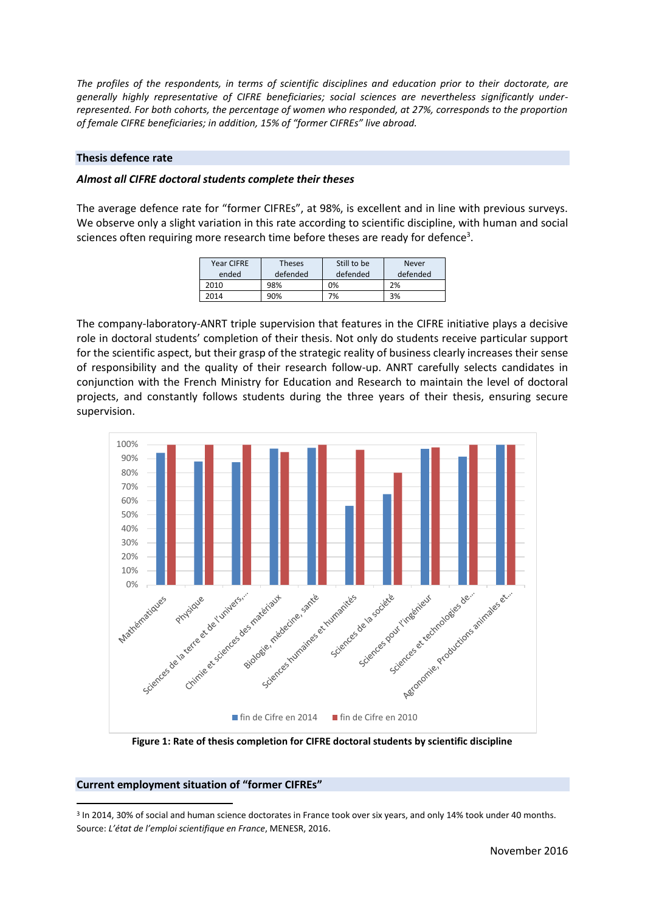*The profiles of the respondents, in terms of scientific disciplines and education prior to their doctorate, are generally highly representative of CIFRE beneficiaries; social sciences are nevertheless significantly underrepresented. For both cohorts, the percentage of women who responded, at 27%, corresponds to the proportion of female CIFRE beneficiaries; in addition, 15% of "former CIFREs" live abroad.* 

#### **Thesis defence rate**

#### *Almost all CIFRE doctoral students complete their theses*

The average defence rate for "former CIFREs", at 98%, is excellent and in line with previous surveys. We observe only a slight variation in this rate according to scientific discipline, with human and social sciences often requiring more research time before theses are ready for defence<sup>3</sup>.

| Year CIFRE<br>ended | <b>Theses</b><br>defended | Still to be<br>defended | <b>Never</b><br>defended |
|---------------------|---------------------------|-------------------------|--------------------------|
| 2010                | 98%                       | 0%                      | 2%                       |
| 2014                | 90%                       | 7%                      | 3%                       |

The company-laboratory-ANRT triple supervision that features in the CIFRE initiative plays a decisive role in doctoral students' completion of their thesis. Not only do students receive particular support for the scientific aspect, but their grasp of the strategic reality of business clearly increases their sense of responsibility and the quality of their research follow-up. ANRT carefully selects candidates in conjunction with the French Ministry for Education and Research to maintain the level of doctoral projects, and constantly follows students during the three years of their thesis, ensuring secure supervision.



**Figure 1: Rate of thesis completion for CIFRE doctoral students by scientific discipline**

#### **Current employment situation of "former CIFREs"**

**.** 

<sup>3</sup> In 2014, 30% of social and human science doctorates in France took over six years, and only 14% took under 40 months. Source: *L'état de l'emploi scientifique en France*, MENESR, 2016.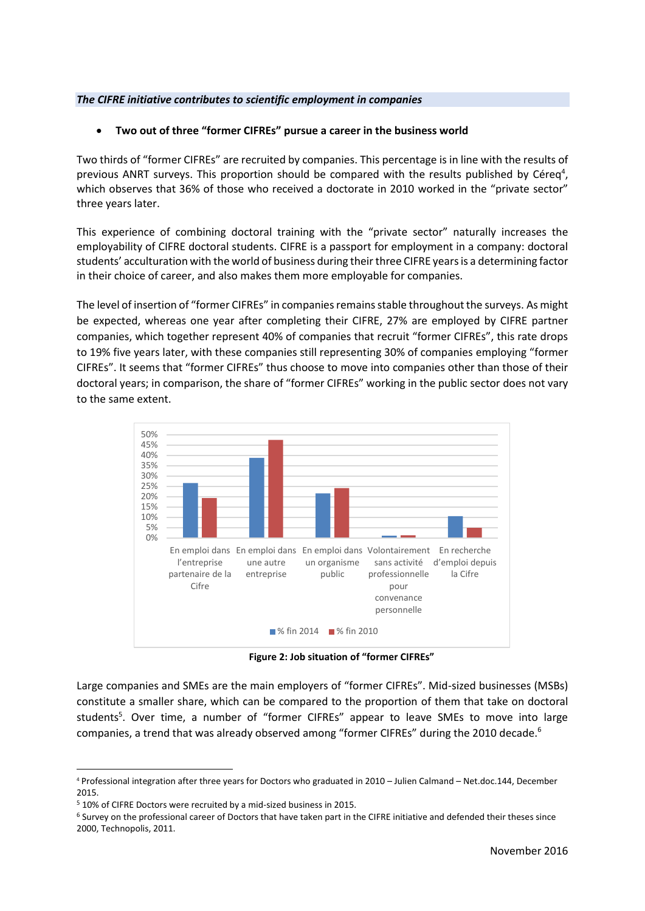#### *The CIFRE initiative contributes to scientific employment in companies*

# • **Two out of three "former CIFREs" pursue a career in the business world**

Two thirds of "former CIFREs" are recruited by companies. This percentage is in line with the results of previous ANRT surveys. This proportion should be compared with the results published by Céreq<sup>4</sup>, which observes that 36% of those who received a doctorate in 2010 worked in the "private sector" three years later.

This experience of combining doctoral training with the "private sector" naturally increases the employability of CIFRE doctoral students. CIFRE is a passport for employment in a company: doctoral students' acculturation with the world of business during their three CIFRE years is a determining factor in their choice of career, and also makes them more employable for companies.

The level of insertion of "former CIFREs" in companies remains stable throughout the surveys. As might be expected, whereas one year after completing their CIFRE, 27% are employed by CIFRE partner companies, which together represent 40% of companies that recruit "former CIFREs", this rate drops to 19% five years later, with these companies still representing 30% of companies employing "former CIFREs". It seems that "former CIFREs" thus choose to move into companies other than those of their doctoral years; in comparison, the share of "former CIFREs" working in the public sector does not vary to the same extent.



**Figure 2: Job situation of "former CIFREs"**

Large companies and SMEs are the main employers of "former CIFREs". Mid-sized businesses (MSBs) constitute a smaller share, which can be compared to the proportion of them that take on doctoral students<sup>5</sup>. Over time, a number of "former CIFREs" appear to leave SMEs to move into large companies, a trend that was already observed among "former CIFREs" during the 2010 decade.<sup>6</sup>

1

<sup>4</sup> Professional integration after three years for Doctors who graduated in 2010 – Julien Calmand – Net.doc.144, December 2015.

<sup>5</sup> 10% of CIFRE Doctors were recruited by a mid-sized business in 2015.

<sup>6</sup> Survey on the professional career of Doctors that have taken part in the CIFRE initiative and defended their theses since 2000, Technopolis, 2011.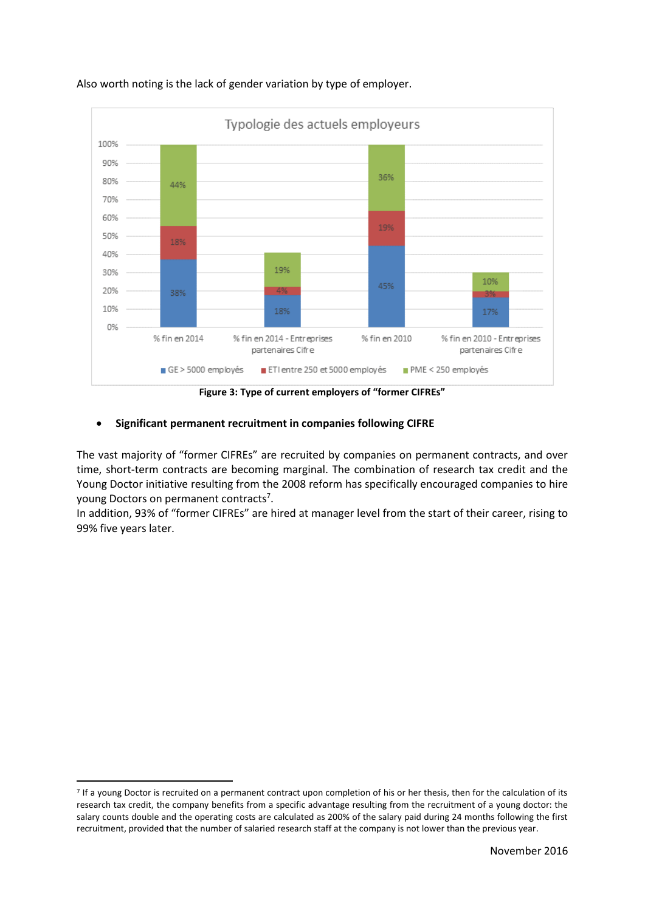

## Also worth noting is the lack of gender variation by type of employer.

**Figure 3: Type of current employers of "former CIFREs"** 

## • **Significant permanent recruitment in companies following CIFRE**

The vast majority of "former CIFREs" are recruited by companies on permanent contracts, and over time, short-term contracts are becoming marginal. The combination of research tax credit and the Young Doctor initiative resulting from the 2008 reform has specifically encouraged companies to hire young Doctors on permanent contracts<sup>7</sup>.

In addition, 93% of "former CIFREs" are hired at manager level from the start of their career, rising to 99% five years later.

 $\overline{\phantom{a}}$ 

<sup>&</sup>lt;sup>7</sup> If a young Doctor is recruited on a permanent contract upon completion of his or her thesis, then for the calculation of its research tax credit, the company benefits from a specific advantage resulting from the recruitment of a young doctor: the salary counts double and the operating costs are calculated as 200% of the salary paid during 24 months following the first recruitment, provided that the number of salaried research staff at the company is not lower than the previous year.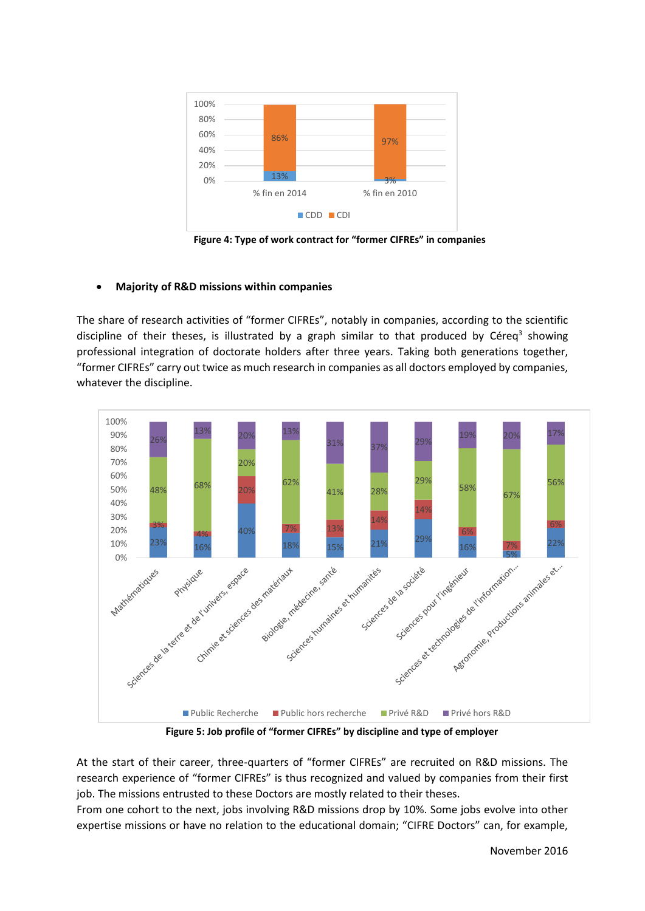

**Figure 4: Type of work contract for "former CIFREs" in companies** 

## • **Majority of R&D missions within companies**

The share of research activities of "former CIFREs", notably in companies, according to the scientific discipline of their theses, is illustrated by a graph similar to that produced by Céreq<sup>3</sup> showing professional integration of doctorate holders after three years. Taking both generations together, "former CIFREs" carry out twice as much research in companies as all doctors employed by companies, whatever the discipline.



**Figure 5: Job profile of "former CIFREs" by discipline and type of employer** 

At the start of their career, three-quarters of "former CIFREs" are recruited on R&D missions. The research experience of "former CIFREs" is thus recognized and valued by companies from their first job. The missions entrusted to these Doctors are mostly related to their theses.

From one cohort to the next, jobs involving R&D missions drop by 10%. Some jobs evolve into other expertise missions or have no relation to the educational domain; "CIFRE Doctors" can, for example,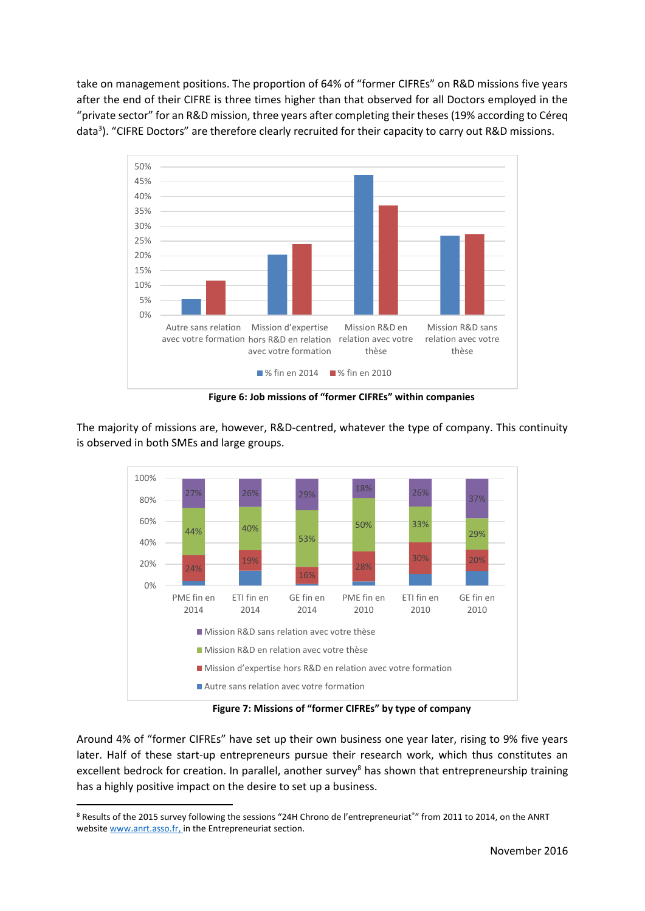take on management positions. The proportion of 64% of "former CIFREs" on R&D missions five years after the end of their CIFRE is three times higher than that observed for all Doctors employed in the "private sector" for an R&D mission, three years after completing their theses (19% according to Céreq data<sup>3</sup>). "CIFRE Doctors" are therefore clearly recruited for their capacity to carry out R&D missions.



**Figure 6: Job missions of "former CIFREs" within companies**

The majority of missions are, however, R&D-centred, whatever the type of company. This continuity is observed in both SMEs and large groups.



**Figure 7: Missions of "former CIFREs" by type of company**

Around 4% of "former CIFREs" have set up their own business one year later, rising to 9% five years later. Half of these start-up entrepreneurs pursue their research work, which thus constitutes an excellent bedrock for creation. In parallel, another survey<sup>8</sup> has shown that entrepreneurship training has a highly positive impact on the desire to set up a business.

**.** 

<sup>8</sup> Results of the 2015 survey following the sessions "24H Chrono de l'entrepreneuriat®" from 2011 to 2014, on the ANRT website [www.anrt.asso.fr,](http://www.anrt.asso.fr/) in the Entrepreneuriat section.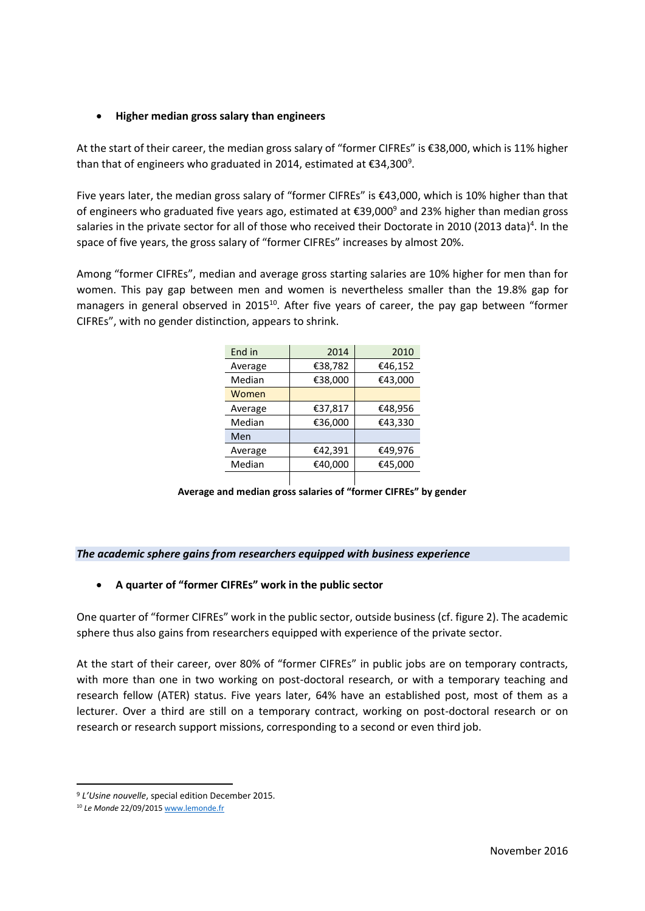## • **Higher median gross salary than engineers**

At the start of their career, the median gross salary of "former CIFREs" is €38,000, which is 11% higher than that of engineers who graduated in 2014, estimated at  $\epsilon$ 34,300<sup>9</sup>.

Five years later, the median gross salary of "former CIFREs" is €43,000, which is 10% higher than that of engineers who graduated five years ago, estimated at  $\epsilon$ 39,000<sup>9</sup> and 23% higher than median gross salaries in the private sector for all of those who received their Doctorate in 2010 (2013 data)<sup>4</sup>. In the space of five years, the gross salary of "former CIFREs" increases by almost 20%.

Among "former CIFREs", median and average gross starting salaries are 10% higher for men than for women. This pay gap between men and women is nevertheless smaller than the 19.8% gap for managers in general observed in 2015<sup>10</sup>. After five years of career, the pay gap between "former CIFREs", with no gender distinction, appears to shrink.

| End in  | 2014    | 2010    |  |
|---------|---------|---------|--|
| Average | €38,782 | €46,152 |  |
| Median  | €38,000 | €43,000 |  |
| Women   |         |         |  |
| Average | €37,817 | €48,956 |  |
| Median  | €36,000 | €43,330 |  |
| Men     |         |         |  |
| Average | €42,391 | €49,976 |  |
| Median  | €40,000 | €45,000 |  |
|         |         |         |  |

**Average and median gross salaries of "former CIFREs" by gender** 

#### *The academic sphere gains from researchers equipped with business experience*

# • **A quarter of "former CIFREs" work in the public sector**

One quarter of "former CIFREs" work in the public sector, outside business (cf. figure 2). The academic sphere thus also gains from researchers equipped with experience of the private sector.

At the start of their career, over 80% of "former CIFREs" in public jobs are on temporary contracts, with more than one in two working on post-doctoral research, or with a temporary teaching and research fellow (ATER) status. Five years later, 64% have an established post, most of them as a lecturer. Over a third are still on a temporary contract, working on post-doctoral research or on research or research support missions, corresponding to a second or even third job.

**<sup>.</sup>** <sup>9</sup> *L'Usine nouvelle*, special edition December 2015.

<sup>10</sup> *Le Monde* 22/09/201[5 www.lemonde.fr](http://www.lemonde.fr/)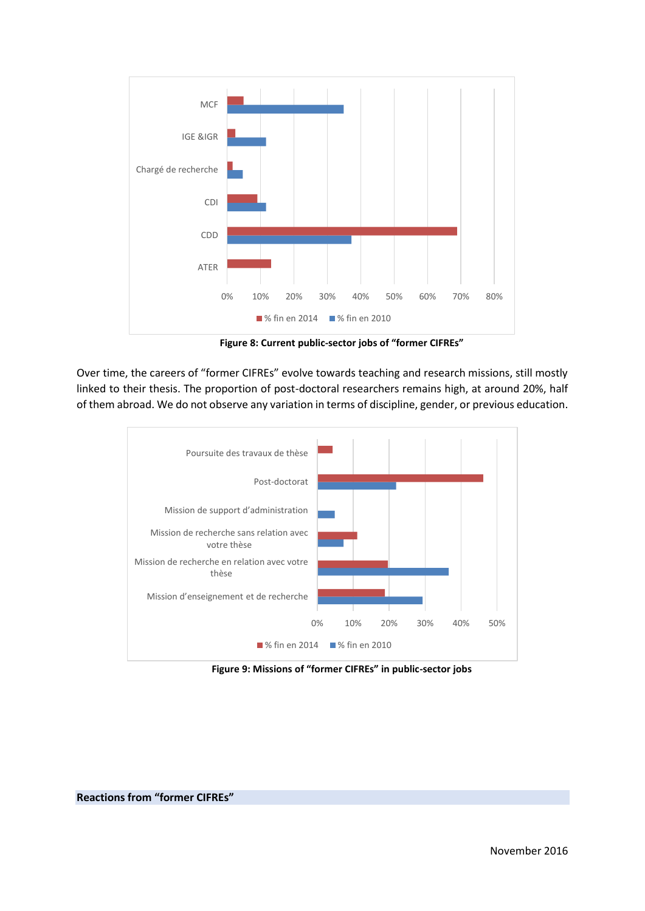

**Figure 8: Current public-sector jobs of "former CIFREs"**

Over time, the careers of "former CIFREs" evolve towards teaching and research missions, still mostly linked to their thesis. The proportion of post-doctoral researchers remains high, at around 20%, half of them abroad. We do not observe any variation in terms of discipline, gender, or previous education.



**Figure 9: Missions of "former CIFREs" in public-sector jobs**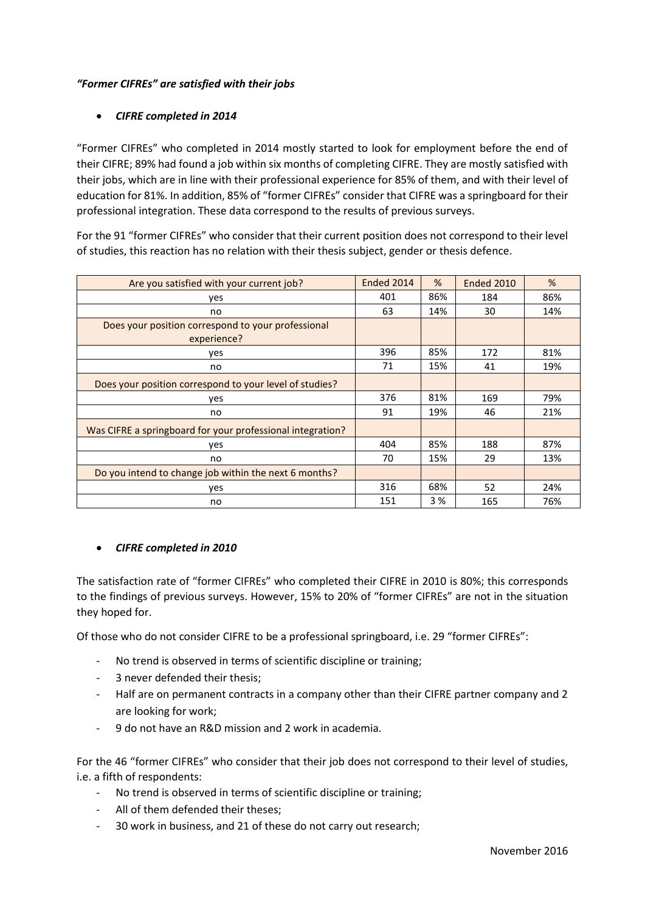# *"Former CIFREs" are satisfied with their jobs*

# • *CIFRE completed in 2014*

"Former CIFREs" who completed in 2014 mostly started to look for employment before the end of their CIFRE; 89% had found a job within six months of completing CIFRE. They are mostly satisfied with their jobs, which are in line with their professional experience for 85% of them, and with their level of education for 81%. In addition, 85% of "former CIFREs" consider that CIFRE was a springboard for their professional integration. These data correspond to the results of previous surveys.

For the 91 "former CIFREs" who consider that their current position does not correspond to their level of studies, this reaction has no relation with their thesis subject, gender or thesis defence.

| Are you satisfied with your current job?                          | Ended 2014 | %   | Ended 2010 | %   |
|-------------------------------------------------------------------|------------|-----|------------|-----|
| yes                                                               | 401        | 86% | 184        | 86% |
| no                                                                | 63         | 14% | 30         | 14% |
| Does your position correspond to your professional<br>experience? |            |     |            |     |
| yes                                                               | 396        | 85% | 172        | 81% |
| no                                                                | 71         | 15% | 41         | 19% |
| Does your position correspond to your level of studies?           |            |     |            |     |
| yes                                                               | 376        | 81% | 169        | 79% |
| no                                                                | 91         | 19% | 46         | 21% |
| Was CIFRE a springboard for your professional integration?        |            |     |            |     |
| yes                                                               | 404        | 85% | 188        | 87% |
| no                                                                | 70         | 15% | 29         | 13% |
| Do you intend to change job within the next 6 months?             |            |     |            |     |
| yes                                                               | 316        | 68% | 52         | 24% |
| no                                                                | 151        | 3%  | 165        | 76% |

# • *CIFRE completed in 2010*

The satisfaction rate of "former CIFREs" who completed their CIFRE in 2010 is 80%; this corresponds to the findings of previous surveys. However, 15% to 20% of "former CIFREs" are not in the situation they hoped for.

Of those who do not consider CIFRE to be a professional springboard, i.e. 29 "former CIFREs":

- No trend is observed in terms of scientific discipline or training;
- 3 never defended their thesis;
- Half are on permanent contracts in a company other than their CIFRE partner company and 2 are looking for work;
- 9 do not have an R&D mission and 2 work in academia.

For the 46 "former CIFREs" who consider that their job does not correspond to their level of studies, i.e. a fifth of respondents:

- No trend is observed in terms of scientific discipline or training;
- All of them defended their theses;
- 30 work in business, and 21 of these do not carry out research;